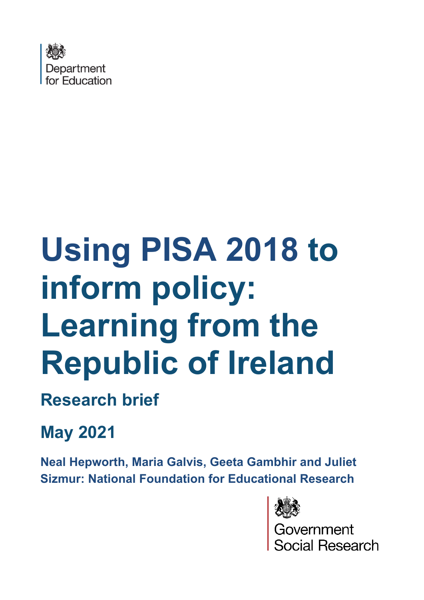

# **Using PISA 2018 to inform policy: Learning from the Republic of Ireland**

# **Research brief**

# **May 2021**

**Neal Hepworth, Maria Galvis, Geeta Gambhir and Juliet Sizmur: National Foundation for Educational Research**



\_<br>overnment<br>ocial Research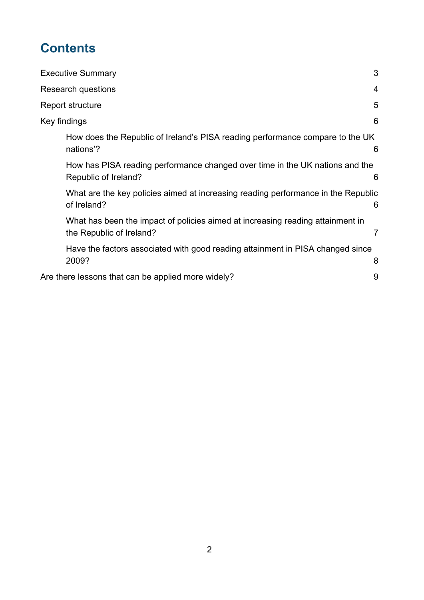# **Contents**

| <b>Executive Summary</b>                                                                                   | 3 |
|------------------------------------------------------------------------------------------------------------|---|
| Research questions                                                                                         | 4 |
| Report structure                                                                                           | 5 |
| Key findings                                                                                               | 6 |
| How does the Republic of Ireland's PISA reading performance compare to the UK<br>nations'?                 | 6 |
| How has PISA reading performance changed over time in the UK nations and the<br>Republic of Ireland?       | 6 |
| What are the key policies aimed at increasing reading performance in the Republic<br>of Ireland?           | 6 |
| What has been the impact of policies aimed at increasing reading attainment in<br>the Republic of Ireland? | 7 |
| Have the factors associated with good reading attainment in PISA changed since<br>2009?                    | 8 |
| Are there lessons that can be applied more widely?                                                         | 9 |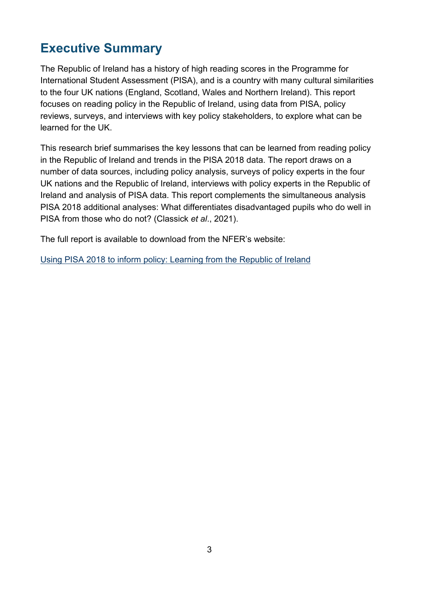## <span id="page-2-0"></span>**Executive Summary**

The Republic of Ireland has a history of high reading scores in the Programme for International Student Assessment (PISA), and is a country with many cultural similarities to the four UK nations (England, Scotland, Wales and Northern Ireland). This report focuses on reading policy in the Republic of Ireland, using data from PISA, policy reviews, surveys, and interviews with key policy stakeholders, to explore what can be learned for the UK.

This research brief summarises the key lessons that can be learned from reading policy in the Republic of Ireland and trends in the PISA 2018 data. The report draws on a number of data sources, including policy analysis, surveys of policy experts in the four UK nations and the Republic of Ireland, interviews with policy experts in the Republic of Ireland and analysis of PISA data. This report complements the simultaneous analysis PISA 2018 additional analyses: What differentiates disadvantaged pupils who do well in PISA from those who do not? (Classick *et al*., 2021).

The full report is available to download from the NFER's website:

[Using PISA 2018 to inform policy: Learning from the Republic of Ireland](http://www.nfer.ac.uk/using-PISA-2018-to-inform-policy-learning-from-the-republic-of-Ireland)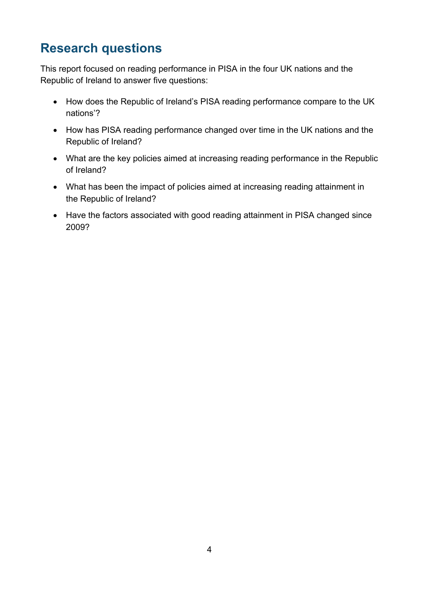## <span id="page-3-0"></span>**Research questions**

This report focused on reading performance in PISA in the four UK nations and the Republic of Ireland to answer five questions:

- How does the Republic of Ireland's PISA reading performance compare to the UK nations'?
- How has PISA reading performance changed over time in the UK nations and the Republic of Ireland?
- What are the key policies aimed at increasing reading performance in the Republic of Ireland?
- What has been the impact of policies aimed at increasing reading attainment in the Republic of Ireland?
- Have the factors associated with good reading attainment in PISA changed since 2009?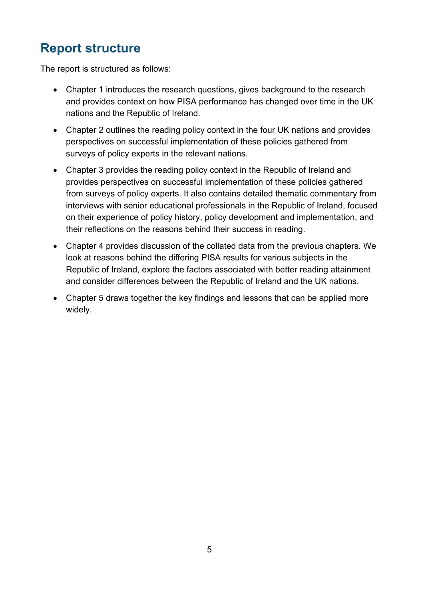## <span id="page-4-0"></span>**Report structure**

The report is structured as follows:

- Chapter 1 introduces the research questions, gives background to the research and provides context on how PISA performance has changed over time in the UK nations and the Republic of Ireland.
- Chapter 2 outlines the reading policy context in the four UK nations and provides perspectives on successful implementation of these policies gathered from surveys of policy experts in the relevant nations.
- Chapter 3 provides the reading policy context in the Republic of Ireland and provides perspectives on successful implementation of these policies gathered from surveys of policy experts. It also contains detailed thematic commentary from interviews with senior educational professionals in the Republic of Ireland, focused on their experience of policy history, policy development and implementation, and their reflections on the reasons behind their success in reading.
- Chapter 4 provides discussion of the collated data from the previous chapters. We look at reasons behind the differing PISA results for various subjects in the Republic of Ireland, explore the factors associated with better reading attainment and consider differences between the Republic of Ireland and the UK nations.
- Chapter 5 draws together the key findings and lessons that can be applied more widely.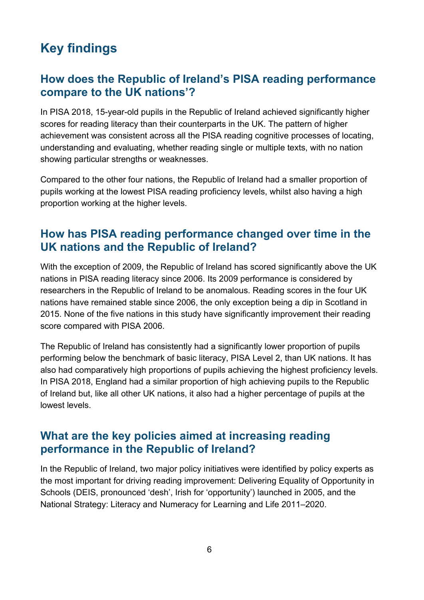# <span id="page-5-0"></span>**Key findings**

#### <span id="page-5-1"></span>**How does the Republic of Ireland's PISA reading performance compare to the UK nations'?**

In PISA 2018, 15-year-old pupils in the Republic of Ireland achieved significantly higher scores for reading literacy than their counterparts in the UK. The pattern of higher achievement was consistent across all the PISA reading cognitive processes of locating, understanding and evaluating, whether reading single or multiple texts, with no nation showing particular strengths or weaknesses.

Compared to the other four nations, the Republic of Ireland had a smaller proportion of pupils working at the lowest PISA reading proficiency levels, whilst also having a high proportion working at the higher levels.

#### <span id="page-5-2"></span>**How has PISA reading performance changed over time in the UK nations and the Republic of Ireland?**

With the exception of 2009, the Republic of Ireland has scored significantly above the UK nations in PISA reading literacy since 2006. Its 2009 performance is considered by researchers in the Republic of Ireland to be anomalous. Reading scores in the four UK nations have remained stable since 2006, the only exception being a dip in Scotland in 2015. None of the five nations in this study have significantly improvement their reading score compared with PISA 2006.

The Republic of Ireland has consistently had a significantly lower proportion of pupils performing below the benchmark of basic literacy, PISA Level 2, than UK nations. It has also had comparatively high proportions of pupils achieving the highest proficiency levels. In PISA 2018, England had a similar proportion of high achieving pupils to the Republic of Ireland but, like all other UK nations, it also had a higher percentage of pupils at the lowest levels.

#### <span id="page-5-3"></span>**What are the key policies aimed at increasing reading performance in the Republic of Ireland?**

In the Republic of Ireland, two major policy initiatives were identified by policy experts as the most important for driving reading improvement: Delivering Equality of Opportunity in Schools (DEIS, pronounced 'desh', Irish for 'opportunity') launched in 2005, and the National Strategy: Literacy and Numeracy for Learning and Life 2011–2020.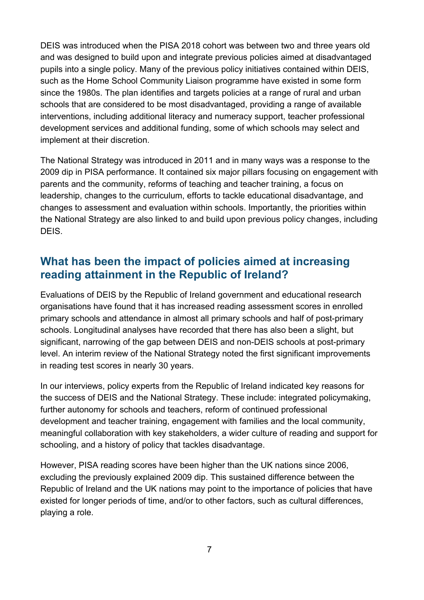DEIS was introduced when the PISA 2018 cohort was between two and three years old and was designed to build upon and integrate previous policies aimed at disadvantaged pupils into a single policy. Many of the previous policy initiatives contained within DEIS, such as the Home School Community Liaison programme have existed in some form since the 1980s. The plan identifies and targets policies at a range of rural and urban schools that are considered to be most disadvantaged, providing a range of available interventions, including additional literacy and numeracy support, teacher professional development services and additional funding, some of which schools may select and implement at their discretion.

The National Strategy was introduced in 2011 and in many ways was a response to the 2009 dip in PISA performance. It contained six major pillars focusing on engagement with parents and the community, reforms of teaching and teacher training, a focus on leadership, changes to the curriculum, efforts to tackle educational disadvantage, and changes to assessment and evaluation within schools. Importantly, the priorities within the National Strategy are also linked to and build upon previous policy changes, including DEIS.

#### <span id="page-6-0"></span>**What has been the impact of policies aimed at increasing reading attainment in the Republic of Ireland?**

Evaluations of DEIS by the Republic of Ireland government and educational research organisations have found that it has increased reading assessment scores in enrolled primary schools and attendance in almost all primary schools and half of post-primary schools. Longitudinal analyses have recorded that there has also been a slight, but significant, narrowing of the gap between DEIS and non-DEIS schools at post-primary level. An interim review of the National Strategy noted the first significant improvements in reading test scores in nearly 30 years.

In our interviews, policy experts from the Republic of Ireland indicated key reasons for the success of DEIS and the National Strategy. These include: integrated policymaking, further autonomy for schools and teachers, reform of continued professional development and teacher training, engagement with families and the local community, meaningful collaboration with key stakeholders, a wider culture of reading and support for schooling, and a history of policy that tackles disadvantage.

However, PISA reading scores have been higher than the UK nations since 2006, excluding the previously explained 2009 dip. This sustained difference between the Republic of Ireland and the UK nations may point to the importance of policies that have existed for longer periods of time, and/or to other factors, such as cultural differences, playing a role.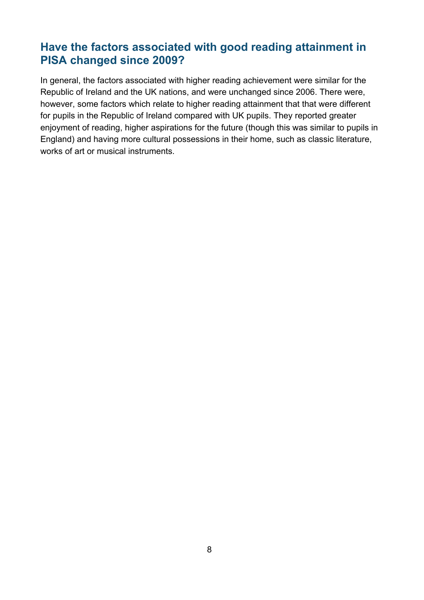#### <span id="page-7-0"></span>**Have the factors associated with good reading attainment in PISA changed since 2009?**

In general, the factors associated with higher reading achievement were similar for the Republic of Ireland and the UK nations, and were unchanged since 2006. There were, however, some factors which relate to higher reading attainment that that were different for pupils in the Republic of Ireland compared with UK pupils. They reported greater enjoyment of reading, higher aspirations for the future (though this was similar to pupils in England) and having more cultural possessions in their home, such as classic literature, works of art or musical instruments.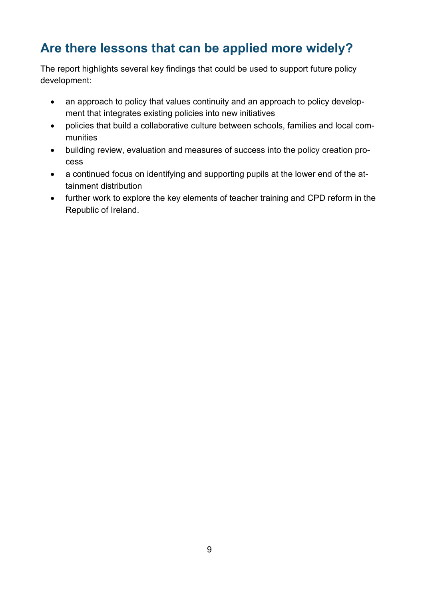# <span id="page-8-0"></span>**Are there lessons that can be applied more widely?**

The report highlights several key findings that could be used to support future policy development:

- an approach to policy that values continuity and an approach to policy development that integrates existing policies into new initiatives
- policies that build a collaborative culture between schools, families and local communities
- building review, evaluation and measures of success into the policy creation process
- a continued focus on identifying and supporting pupils at the lower end of the attainment distribution
- further work to explore the key elements of teacher training and CPD reform in the Republic of Ireland.